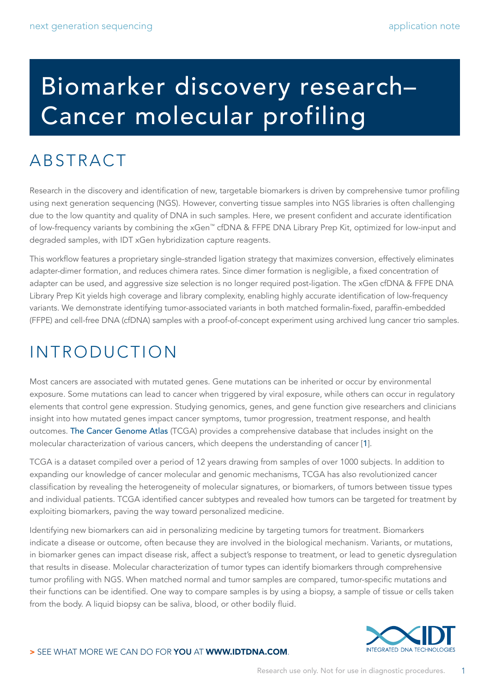# Biomarker discovery research– Cancer molecular profiling

# ABSTRACT

Research in the discovery and identification of new, targetable biomarkers is driven by comprehensive tumor profiling using next generation sequencing (NGS). However, converting tissue samples into NGS libraries is often challenging due to the low quantity and quality of DNA in such samples. Here, we present confident and accurate identification of low-frequency variants by combining the xGen™ cfDNA & FFPE DNA Library Prep Kit, optimized for low-input and degraded samples, with IDT xGen hybridization capture reagents.

This workflow features a proprietary single-stranded ligation strategy that maximizes conversion, effectively eliminates adapter-dimer formation, and reduces chimera rates. Since dimer formation is negligible, a fixed concentration of adapter can be used, and aggressive size selection is no longer required post-ligation. The xGen cfDNA & FFPE DNA Library Prep Kit yields high coverage and library complexity, enabling highly accurate identification of low-frequency variants. We demonstrate identifying tumor-associated variants in both matched formalin-fixed, paraffin-embedded (FFPE) and cell-free DNA (cfDNA) samples with a proof-of-concept experiment using archived lung cancer trio samples.

## INTRODUCTION

Most cancers are associated with mutated genes. Gene mutations can be inherited or occur by environmental exposure. Some mutations can lead to cancer when triggered by viral exposure, while others can occur in regulatory elements that control gene expression. Studying genomics, genes, and gene function give researchers and clinicians insight into how mutated genes impact cancer symptoms, tumor progression, treatment response, and health outcomes. [The Cancer Genome Atlas](https://www.cancer.gov/about-nci/organization/ccg/research/structural-genomics/tcga) (TCGA) provides a comprehensive database that includes insight on the molecular characterization of various cancers, which deepens the understanding of cancer [[1](#page-8-0)].

TCGA is a dataset compiled over a period of 12 years drawing from samples of over 1000 subjects. In addition to expanding our knowledge of cancer molecular and genomic mechanisms, TCGA has also revolutionized cancer classification by revealing the heterogeneity of molecular signatures, or biomarkers, of tumors between tissue types and individual patients. TCGA identified cancer subtypes and revealed how tumors can be targeted for treatment by exploiting biomarkers, paving the way toward personalized medicine.

Identifying new biomarkers can aid in personalizing medicine by targeting tumors for treatment. Biomarkers indicate a disease or outcome, often because they are involved in the biological mechanism. Variants, or mutations, in biomarker genes can impact disease risk, affect a subject's response to treatment, or lead to genetic dysregulation that results in disease. Molecular characterization of tumor types can identify biomarkers through comprehensive tumor profiling with NGS. When matched normal and tumor samples are compared, tumor-specific mutations and their functions can be identified. One way to compare samples is by using a biopsy, a sample of tissue or cells taken from the body. A liquid biopsy can be saliva, blood, or other bodily fluid.



#### > SEE WHAT MORE WE CAN DO FOR YOU AT WWW.IDTDNA.COM.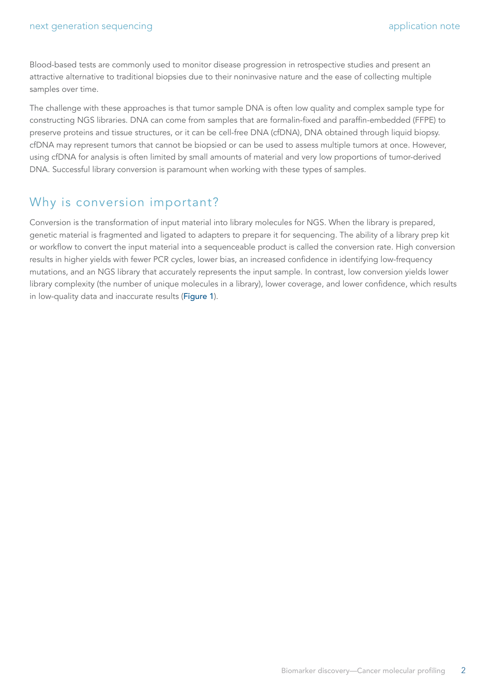Blood-based tests are commonly used to monitor disease progression in retrospective studies and present an attractive alternative to traditional biopsies due to their noninvasive nature and the ease of collecting multiple samples over time.

The challenge with these approaches is that tumor sample DNA is often low quality and complex sample type for constructing NGS libraries. DNA can come from samples that are formalin-fixed and paraffin-embedded (FFPE) to preserve proteins and tissue structures, or it can be cell-free DNA (cfDNA), DNA obtained through liquid biopsy. cfDNA may represent tumors that cannot be biopsied or can be used to assess multiple tumors at once. However, using cfDNA for analysis is often limited by small amounts of material and very low proportions of tumor-derived DNA. Successful library conversion is paramount when working with these types of samples.

### Why is conversion important?

Conversion is the transformation of input material into library molecules for NGS. When the library is prepared, genetic material is fragmented and ligated to adapters to prepare it for sequencing. The ability of a library prep kit or workflow to convert the input material into a sequenceable product is called the conversion rate. High conversion results in higher yields with fewer PCR cycles, lower bias, an increased confidence in identifying low-frequency mutations, and an NGS library that accurately represents the input sample. In contrast, low conversion yields lower library complexity (the number of unique molecules in a library), lower coverage, and lower confidence, which results in low-quality data and inaccurate results ([Figure 1](#page-2-0)).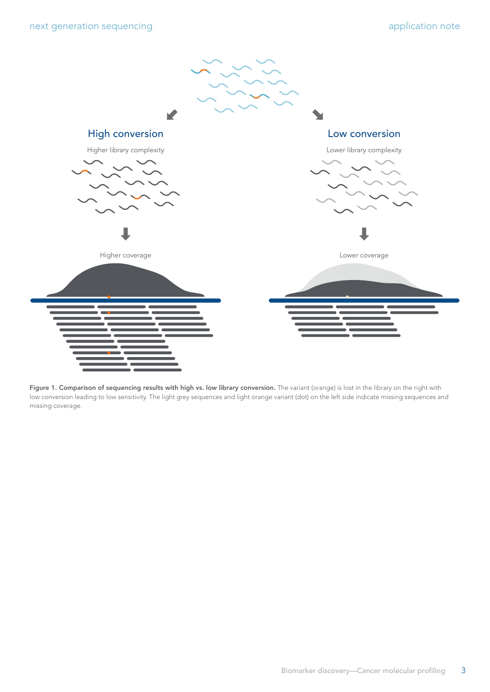<span id="page-2-0"></span>

Figure 1. Comparison of sequencing results with high vs. low library conversion. The variant (orange) is lost in the library on the right with low conversion leading to low sensitivity. The light grey sequences and light orange variant (dot) on the left side indicate missing sequences and missing coverage.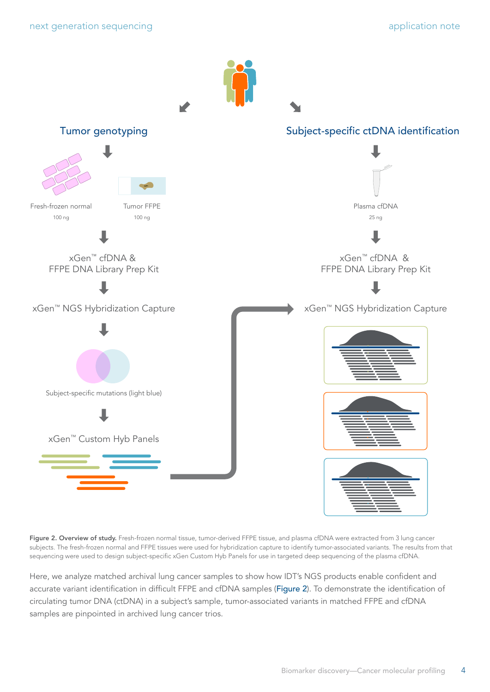<span id="page-3-0"></span>

Figure 2. Overview of study. Fresh-frozen normal tissue, tumor-derived FFPE tissue, and plasma cfDNA were extracted from 3 lung cancer subjects. The fresh-frozen normal and FFPE tissues were used for hybridization capture to identify tumor-associated variants. The results from that sequencing were used to design subject-specific xGen Custom Hyb Panels for use in targeted deep sequencing of the plasma cfDNA.

Here, we analyze matched archival lung cancer samples to show how IDT's NGS products enable confident and accurate variant identification in difficult FFPE and cfDNA samples ([Figure 2](#page-3-0)). To demonstrate the identification of circulating tumor DNA (ctDNA) in a subject's sample, tumor-associated variants in matched FFPE and cfDNA samples are pinpointed in archived lung cancer trios.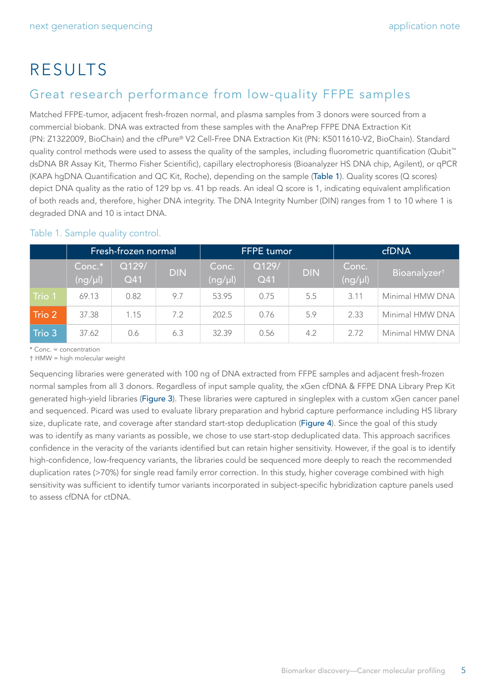### RESULTS

### Great research performance from low-quality FFPE samples

Matched FFPE-tumor, adjacent fresh-frozen normal, and plasma samples from 3 donors were sourced from a commercial biobank. DNA was extracted from these samples with the AnaPrep FFPE DNA Extraction Kit (PN: Z1322009, BioChain) and the cfPure® V2 Cell-Free DNA Extraction Kit (PN: K5011610-V2, BioChain). Standard quality control methods were used to assess the quality of the samples, including fluorometric quantification (Qubit™ dsDNA BR Assay Kit, Thermo Fisher Scientific), capillary electrophoresis (Bioanalyzer HS DNA chip, Agilent), or qPCR (KAPA hgDNA Quantification and QC Kit, Roche), depending on the sample ([Table 1](#page-4-0)). Quality scores (Q scores) depict DNA quality as the ratio of 129 bp vs. 41 bp reads. An ideal Q score is 1, indicating equivalent amplification of both reads and, therefore, higher DNA integrity. The DNA Integrity Number (DIN) ranges from 1 to 10 where 1 is degraded DNA and 10 is intact DNA.

|        | Fresh-frozen normal      |                          |            | <b>FFPE</b> tumor |                          |            | cfDNA                 |                          |
|--------|--------------------------|--------------------------|------------|-------------------|--------------------------|------------|-----------------------|--------------------------|
|        | $Conc.*$<br>$(ng/\mu l)$ | Q129/<br>Q <sub>41</sub> | <b>DIN</b> | Conc.<br>(ng/µ)   | Q129/<br>Q <sub>41</sub> | <b>DIN</b> | Conc.<br>$(ng/\mu l)$ | Bioanalyzer <sup>t</sup> |
| Trio 1 | 69.13                    | 0.82                     | 9.7        | 53.95             | 0.75                     | 5.5        | 3.11                  | Minimal HMW DNA          |
| Trio 2 | 37.38                    | 1.15                     | 7.2        | 202.5             | 0.76                     | 5.9        | 2.33                  | Minimal HMW DNA          |
| Trio 3 | 37.62                    | 0.6                      | 6.3        | 32.39             | 0.56                     | 4.2        | 2.72                  | Minimal HMW DNA          |

#### <span id="page-4-0"></span>Table 1. Sample quality control.

\* Conc. = concentration

† HMW = high molecular weight

Sequencing libraries were generated with 100 ng of DNA extracted from FFPE samples and adjacent fresh-frozen normal samples from all 3 donors. Regardless of input sample quality, the xGen cfDNA & FFPE DNA Library Prep Kit generated high-yield libraries ([Figure 3](#page-5-0)). These libraries were captured in singleplex with a custom xGen cancer panel and sequenced. Picard was used to evaluate library preparation and hybrid capture performance including HS library size, duplicate rate, and coverage after standard start-stop deduplication ([Figure](#page-5-1) 4). Since the goal of this study was to identify as many variants as possible, we chose to use start-stop deduplicated data. This approach sacrifices confidence in the veracity of the variants identified but can retain higher sensitivity. However, if the goal is to identify high-confidence, low-frequency variants, the libraries could be sequenced more deeply to reach the recommended duplication rates (>70%) for single read family error correction. In this study, higher coverage combined with high sensitivity was sufficient to identify tumor variants incorporated in subject-specific hybridization capture panels used to assess cfDNA for ctDNA.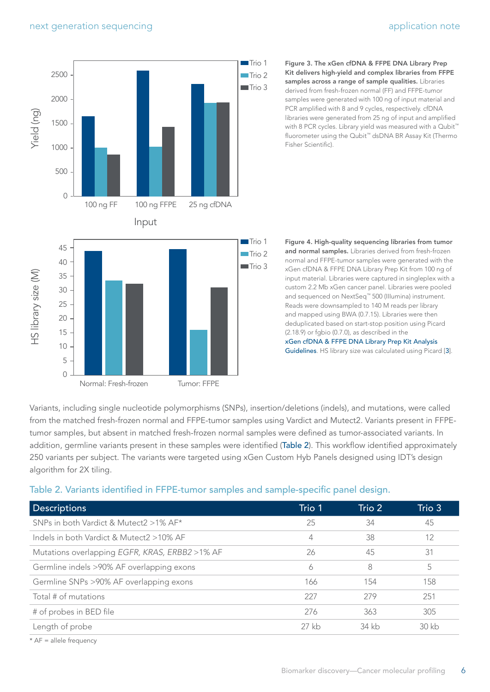<span id="page-5-0"></span>

Normal: Fresh-frozen Tumor: FFPE

Figure 3. The xGen cfDNA & FFPE DNA Library Prep Kit delivers high-yield and complex libraries from FFPE samples across a range of sample qualities. Libraries derived from fresh-frozen normal (FF) and FFPE-tumor samples were generated with 100 ng of input material and PCR amplified with 8 and 9 cycles, respectively. cfDNA libraries were generated from 25 ng of input and amplified with 8 PCR cycles. Library yield was measured with a Qubit™ fluorometer using the Qubit™ dsDNA BR Assay Kit (Thermo Fisher Scientific).



Variants, including single nucleotide polymorphisms (SNPs), insertion/deletions (indels), and mutations, were called from the matched fresh-frozen normal and FFPE-tumor samples using Vardict and Mutect2. Variants present in FFPEtumor samples, but absent in matched fresh-frozen normal samples were defined as tumor-associated variants. In addition, germline variants present in these samples were identified ([Table 2](#page-5-2)). This workflow identified approximately 250 variants per subject. The variants were targeted using xGen Custom Hyb Panels designed using IDT's design algorithm for 2X tiling.

#### <span id="page-5-2"></span>Table 2. Variants identified in FFPE-tumor samples and sample-specific panel design.

| Descriptions                                  | Trio 1         | Trio 2 | Trio 3 |
|-----------------------------------------------|----------------|--------|--------|
| SNPs in both Vardict & Mutect2 >1% AF*        | 25             | 34     | 45     |
| Indels in both Vardict & Mutect2 >10% AF      | $\overline{4}$ | 38     | 12     |
| Mutations overlapping EGFR, KRAS, ERBB2>1% AF | 26             | 45     | 31     |
| Germline indels >90% AF overlapping exons     | 6              | 8      | 5      |
| Germline SNPs >90% AF overlapping exons       | 166            | 154    | 158    |
| Total # of mutations                          | 227            | 279    | 251    |
| # of probes in BED file                       | 276            | 363    | 305    |
| Length of probe                               | 27 kb          | 34 kb  | 30 kb  |

\* AF = allele frequency

<span id="page-5-1"></span> $\overline{O}$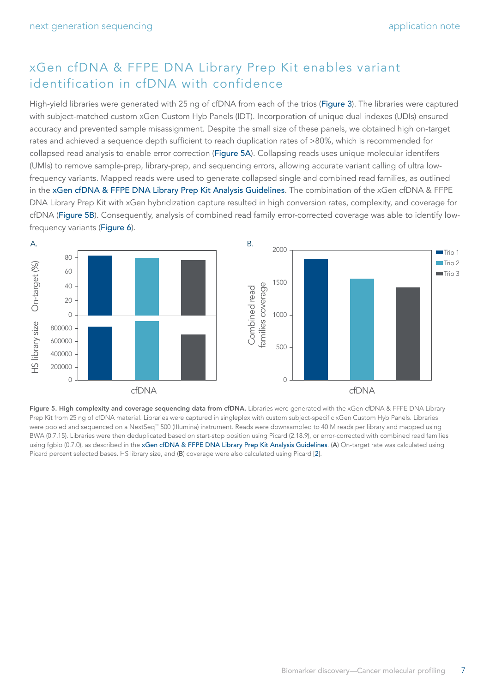### xGen cfDNA & FFPE DNA Library Prep Kit enables variant identification in cfDNA with confidence

High-yield libraries were generated with 25 ng of cfDNA from each of the trios ([Figure](#page-5-0) 3). The libraries were captured with subject-matched custom xGen Custom Hyb Panels (IDT). Incorporation of unique dual indexes (UDIs) ensured accuracy and prevented sample misassignment. Despite the small size of these panels, we obtained high on-target rates and achieved a sequence depth sufficient to reach duplication rates of >80%, which is recommended for collapsed read analysis to enable error correction ([Figure 5A](#page-6-0)). Collapsing reads uses unique molecular identifers (UMIs) to remove sample-prep, library-prep, and sequencing errors, allowing accurate variant calling of ultra lowfrequency variants. Mapped reads were used to generate collapsed single and combined read families, as outlined in the xGen cfDNA & FFPE DNA Library Prep Kit Analysis Guidelines. The combination of the xGen cfDNA & FFPE DNA Library Prep Kit with xGen hybridization capture resulted in high conversion rates, complexity, and coverage for cfDNA ([Figure 5B](#page-6-0)). Consequently, analysis of combined read family error-corrected coverage was able to identify low-frequency variants ([Figure 6](#page-7-0)).

<span id="page-6-0"></span>

Figure 5. High complexity and coverage sequencing data from cfDNA. Libraries were generated with the xGen cfDNA & FFPE DNA Library Prep Kit from 25 ng of cfDNA material. Libraries were captured in singleplex with custom subject-specific xGen Custom Hyb Panels. Libraries were pooled and sequenced on a NextSeq<sup>™</sup> 500 (Illumina) instrument. Reads were downsampled to 40 M reads per library and mapped using BWA (0.7.15). Libraries were then deduplicated based on start-stop position using Picard (2.18.9), or error-corrected with combined read families using fgbio (0.7.0), as described in the xGen cfDNA & FFPE DNA Library Prep Kit Analysis Guidelines. (A) On-target rate was calculated using Picard percent selected bases. HS library size, and (B) coverage were also calculated using Picard [[2](#page-8-1)].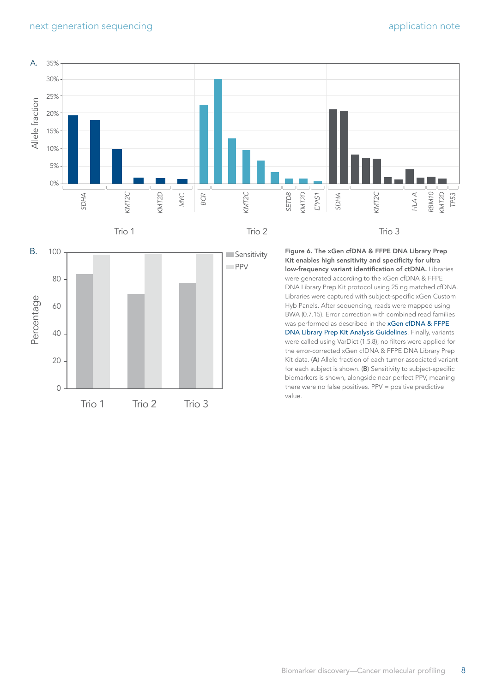

<span id="page-7-0"></span>

Kit enables high sensitivity and specificity for ultra low-frequency variant identification of ctDNA. Libraries were generated according to the xGen cfDNA & FFPE DNA Library Prep Kit protocol using 25 ng matched cfDNA. Libraries were captured with subject-specific xGen Custom Hyb Panels. After sequencing, reads were mapped using BWA (0.7.15). Error correction with combined read families was performed as described in the xGen cfDNA & FFPE DNA Library Prep Kit Analysis Guidelines. Finally, variants were called using VarDict (1.5.8); no filters were applied for the error-corrected xGen cfDNA & FFPE DNA Library Prep Kit data. (A) Allele fraction of each tumor-associated variant for each subject is shown. (B) Sensitivity to subject-specific biomarkers is shown, alongside near-perfect PPV, meaning there were no false positives. PPV = positive predictive value.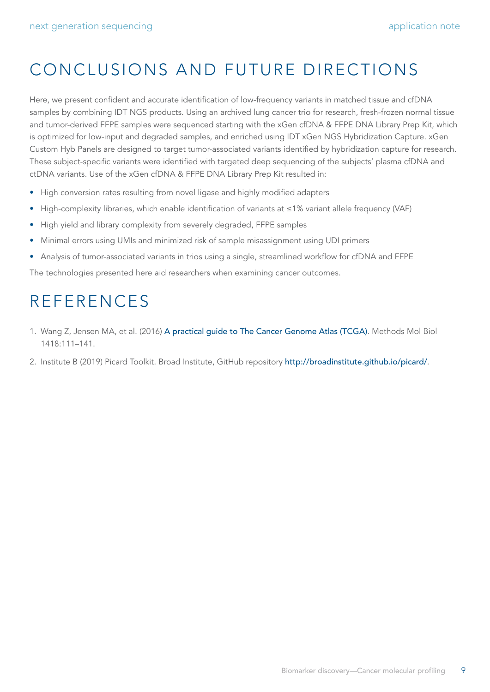# CONCLUSIONS AND FUTURE DIRECTIONS

Here, we present confident and accurate identification of low-frequency variants in matched tissue and cfDNA samples by combining IDT NGS products. Using an archived lung cancer trio for research, fresh-frozen normal tissue and tumor-derived FFPE samples were sequenced starting with the xGen cfDNA & FFPE DNA Library Prep Kit, which is optimized for low-input and degraded samples, and enriched using IDT xGen NGS Hybridization Capture. xGen Custom Hyb Panels are designed to target tumor-associated variants identified by hybridization capture for research. These subject-specific variants were identified with targeted deep sequencing of the subjects' plasma cfDNA and ctDNA variants. Use of the xGen cfDNA & FFPE DNA Library Prep Kit resulted in:

- High conversion rates resulting from novel ligase and highly modified adapters
- High-complexity libraries, which enable identification of variants at ≤1% variant allele frequency (VAF)
- High yield and library complexity from severely degraded, FFPE samples
- Minimal errors using UMIs and minimized risk of sample misassignment using UDI primers
- Analysis of tumor-associated variants in trios using a single, streamlined workflow for cfDNA and FFPE

The technologies presented here aid researchers when examining cancer outcomes.

### REFERENCES

- <span id="page-8-0"></span>1. Wang Z, Jensen MA, et al. (2016) [A practical guide to The Cancer Genome Atlas \(TCGA\)](https://pubmed.ncbi.nlm.nih.gov/27008012/). Methods Mol Biol 1418:111–141.
- <span id="page-8-1"></span>2. Institute B (2019) Picard Toolkit. Broad Institute, GitHub repository <http://broadinstitute.github.io/picard/>.